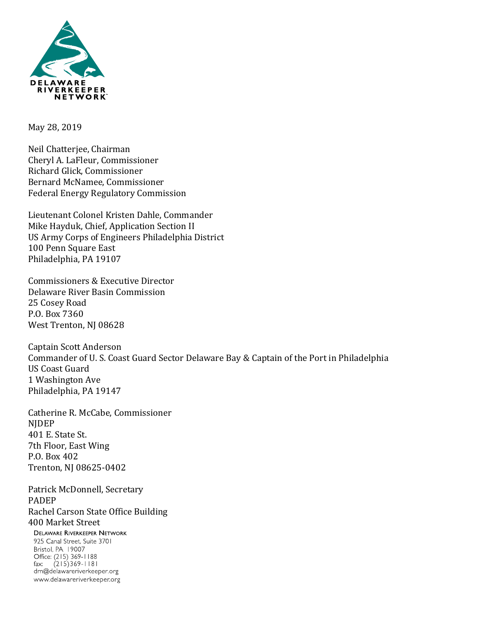

May 28, 2019

Neil Chatterjee, Chairman Cheryl A. LaFleur, Commissioner Richard Glick, Commissioner Bernard McNamee, Commissioner Federal Energy Regulatory Commission

Lieutenant Colonel Kristen Dahle, Commander Mike Hayduk, Chief, Application Section II US Army Corps of Engineers Philadelphia District 100 Penn Square East Philadelphia, PA 19107

Commissioners & Executive Director Delaware River Basin Commission 25 Cosey Road P.O. Box 7360 West Trenton, NJ 08628

Captain Scott Anderson Commander of U. S. Coast Guard Sector Delaware Bay & Captain of the Port in Philadelphia US Coast Guard 1 Washington Ave Philadelphia, PA 19147

Catherine R. McCabe, Commissioner NJDEP 401 E. State St. 7th Floor, East Wing P.O. Box 402 Trenton, NJ 08625-0402

Patrick McDonnell, Secretary PADEP Rachel Carson State Office Building 400 Market Street

**DELAWARE RIVERKEEPER NETWORK** 925 Canal Street, Suite 3701 Bristol, PA 19007 Office: (215) 369-1188 fax:  $(215)369 - 1181$ drn@delawareriverkeeper.org www.delawareriverkeeper.org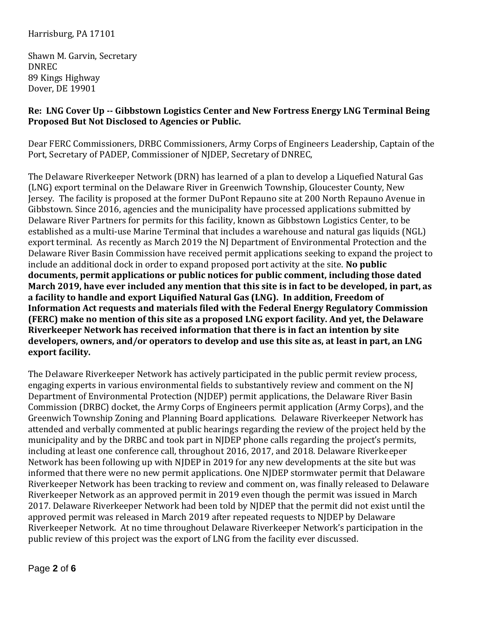### Harrisburg, PA 17101

Shawn M. Garvin, Secretary DNREC 89 Kings Highway Dover, DE 19901

#### **Re: LNG Cover Up -- Gibbstown Logistics Center and New Fortress Energy LNG Terminal Being Proposed But Not Disclosed to Agencies or Public.**

Dear FERC Commissioners, DRBC Commissioners, Army Corps of Engineers Leadership, Captain of the Port, Secretary of PADEP, Commissioner of NJDEP, Secretary of DNREC,

The Delaware Riverkeeper Network (DRN) has learned of a plan to develop a Liquefied Natural Gas (LNG) export terminal on the Delaware River in Greenwich Township, Gloucester County, New Jersey. The facility is proposed at the former DuPont Repauno site at 200 North Repauno Avenue in Gibbstown. Since 2016, agencies and the municipality have processed applications submitted by Delaware River Partners for permits for this facility, known as Gibbstown Logistics Center, to be established as a multi-use Marine Terminal that includes a warehouse and natural gas liquids (NGL) export terminal. As recently as March 2019 the NJ Department of Environmental Protection and the Delaware River Basin Commission have received permit applications seeking to expand the project to include an additional dock in order to expand proposed port activity at the site. **No public documents, permit applications or public notices for public comment, including those dated March 2019, have ever included any mention that this site is in fact to be developed, in part, as a facility to handle and export Liquified Natural Gas (LNG). In addition, Freedom of Information Act requests and materials filed with the Federal Energy Regulatory Commission (FERC) make no mention of this site as a proposed LNG export facility. And yet, the Delaware Riverkeeper Network has received information that there is in fact an intention by site developers, owners, and/or operators to develop and use this site as, at least in part, an LNG export facility.** 

The Delaware Riverkeeper Network has actively participated in the public permit review process, engaging experts in various environmental fields to substantively review and comment on the NJ Department of Environmental Protection (NJDEP) permit applications, the Delaware River Basin Commission (DRBC) docket, the Army Corps of Engineers permit application (Army Corps), and the Greenwich Township Zoning and Planning Board applications. Delaware Riverkeeper Network has attended and verbally commented at public hearings regarding the review of the project held by the municipality and by the DRBC and took part in NJDEP phone calls regarding the project's permits, including at least one conference call, throughout 2016, 2017, and 2018. Delaware Riverkeeper Network has been following up with NJDEP in 2019 for any new developments at the site but was informed that there were no new permit applications. One NJDEP stormwater permit that Delaware Riverkeeper Network has been tracking to review and comment on, was finally released to Delaware Riverkeeper Network as an approved permit in 2019 even though the permit was issued in March 2017. Delaware Riverkeeper Network had been told by NJDEP that the permit did not exist until the approved permit was released in March 2019 after repeated requests to NJDEP by Delaware Riverkeeper Network. At no time throughout Delaware Riverkeeper Network's participation in the public review of this project was the export of LNG from the facility ever discussed.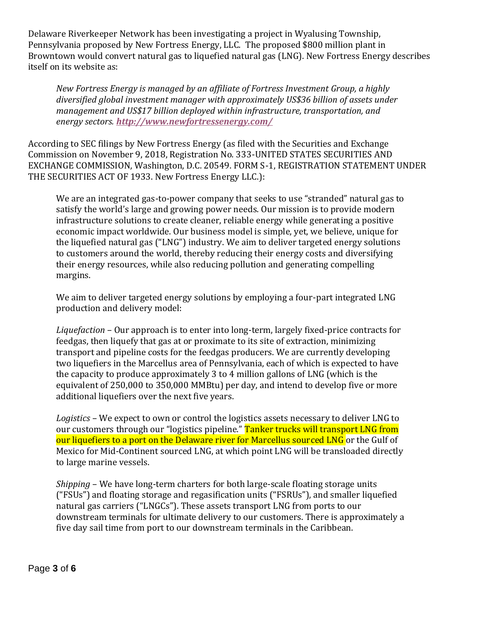Delaware Riverkeeper Network has been investigating a project in Wyalusing Township, Pennsylvania proposed by New Fortress Energy, LLC. The proposed \$800 million plant in Browntown would convert natural gas to liquefied natural gas (LNG). New Fortress Energy describes itself on its website as:

*New Fortress Energy is managed by an affiliate of Fortress Investment Group, a highly diversified global investment manager with approximately US\$36 billion of assets under management and US\$17 billion deployed within infrastructure, transportation, and energy sectors. [http://www.newfortressenergy.com/](https://www.linkedin.com/redir/redirect?url=http%3A%2F%2Fwww%2Enewfortressenergy%2Ecom%2F&urlhash=Cvsj&trk=about_website)*

According to SEC filings by New Fortress Energy (as filed with the Securities and Exchange Commission on November 9, 2018, Registration No. 333-UNITED STATES SECURITIES AND EXCHANGE COMMISSION, Washington, D.C. 20549. FORM S-1, REGISTRATION STATEMENT UNDER THE SECURITIES ACT OF 1933. New Fortress Energy LLC.):

We are an integrated gas-to-power company that seeks to use "stranded" natural gas to satisfy the world's large and growing power needs. Our mission is to provide modern infrastructure solutions to create cleaner, reliable energy while generating a positive economic impact worldwide. Our business model is simple, yet, we believe, unique for the liquefied natural gas ("LNG") industry. We aim to deliver targeted energy solutions to customers around the world, thereby reducing their energy costs and diversifying their energy resources, while also reducing pollution and generating compelling margins.

We aim to deliver targeted energy solutions by employing a four-part integrated LNG production and delivery model:

*Liquefaction* – Our approach is to enter into long-term, largely fixed-price contracts for feedgas, then liquefy that gas at or proximate to its site of extraction, minimizing transport and pipeline costs for the feedgas producers. We are currently developing two liquefiers in the Marcellus area of Pennsylvania, each of which is expected to have the capacity to produce approximately 3 to 4 million gallons of LNG (which is the equivalent of 250,000 to 350,000 MMBtu) per day, and intend to develop five or more additional liquefiers over the next five years.

*Logistics* – We expect to own or control the logistics assets necessary to deliver LNG to our customers through our "logistics pipeline." Tanker trucks will transport LNG from our liquefiers to a port on the Delaware river for Marcellus sourced LNG or the Gulf of Mexico for Mid-Continent sourced LNG, at which point LNG will be transloaded directly to large marine vessels.

*Shipping* – We have long-term charters for both large-scale floating storage units ("FSUs") and floating storage and regasification units ("FSRUs"), and smaller liquefied natural gas carriers ("LNGCs"). These assets transport LNG from ports to our downstream terminals for ultimate delivery to our customers. There is approximately a five day sail time from port to our downstream terminals in the Caribbean.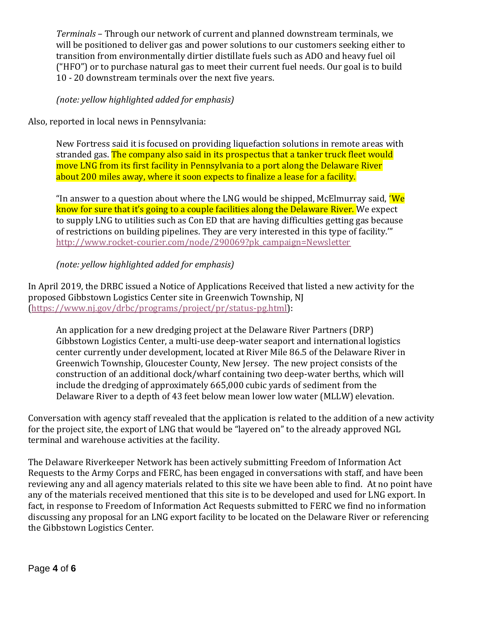*Terminals* – Through our network of current and planned downstream terminals, we will be positioned to deliver gas and power solutions to our customers seeking either to transition from environmentally dirtier distillate fuels such as ADO and heavy fuel oil ("HFO") or to purchase natural gas to meet their current fuel needs. Our goal is to build 10 - 20 downstream terminals over the next five years.

*(note: yellow highlighted added for emphasis)*

Also, reported in local news in Pennsylvania:

New Fortress said it is focused on providing liquefaction solutions in remote areas with stranded gas. The company also said in its prospectus that a tanker truck fleet would move LNG from its first facility in Pennsylvania to a port along the Delaware River about 200 miles away, where it soon expects to finalize a lease for a facility.

"In answer to a question about where the LNG would be shipped, McElmurray said, 'We know for sure that it's going to a couple facilities along the Delaware River. We expect to supply LNG to utilities such as Con ED that are having difficulties getting gas because of restrictions on building pipelines. They are very interested in this type of facility.'" [http://www.rocket-courier.com/node/290069?pk\\_campaign=Newsletter](http://www.rocket-courier.com/node/290069?pk_campaign=Newsletter)

*(note: yellow highlighted added for emphasis)*

In April 2019, the DRBC issued a Notice of Applications Received that listed a new activity for the proposed Gibbstown Logistics Center site in Greenwich Township, NJ [\(https://www.nj.gov/drbc/programs/project/pr/status-pg.html\)](https://www.nj.gov/drbc/programs/project/pr/status-pg.html):

An application for a new dredging project at the Delaware River Partners (DRP) Gibbstown Logistics Center, a multi-use deep-water seaport and international logistics center currently under development, located at River Mile 86.5 of the Delaware River in Greenwich Township, Gloucester County, New Jersey. The new project consists of the construction of an additional dock/wharf containing two deep-water berths, which will include the dredging of approximately 665,000 cubic yards of sediment from the Delaware River to a depth of 43 feet below mean lower low water (MLLW) elevation.

Conversation with agency staff revealed that the application is related to the addition of a new activity for the project site, the export of LNG that would be "layered on" to the already approved NGL terminal and warehouse activities at the facility.

The Delaware Riverkeeper Network has been actively submitting Freedom of Information Act Requests to the Army Corps and FERC, has been engaged in conversations with staff, and have been reviewing any and all agency materials related to this site we have been able to find. At no point have any of the materials received mentioned that this site is to be developed and used for LNG export. In fact, in response to Freedom of Information Act Requests submitted to FERC we find no information discussing any proposal for an LNG export facility to be located on the Delaware River or referencing the Gibbstown Logistics Center.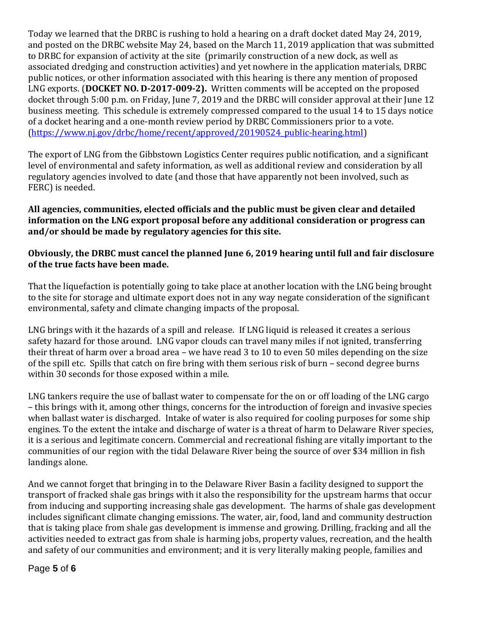Today we learned that the DRBC is rushing to hold a hearing on a draft docket dated May 24, 2019, and posted on the DRBC website May 24, based on the March 11, 2019 application that was submitted to DRBC for expansion of activity at the site (primarily construction of a new dock, as well as associated dredging and construction activities) and yet nowhere in the application materials, DRBC public notices, or other information associated with this hearing is there any mention of proposed LNG exports. (**DOCKET NO. D-2017-009-2).** Written comments will be accepted on the proposed docket through 5:00 p.m. on Friday, June 7, 2019 and the DRBC will consider approval at their June 12 business meeting. This schedule is extremely compressed compared to the usual 14 to 15 days notice of a docket hearing and a one-month review period by DRBC Commissioners prior to a vote. [\(https://www.nj.gov/drbc/home/recent/approved/20190524\\_public-hearing.html\)](https://www.nj.gov/drbc/home/recent/approved/20190524_public-hearing.html)

The export of LNG from the Gibbstown Logistics Center requires public notification, and a significant level of environmental and safety information, as well as additional review and consideration by all regulatory agencies involved to date (and those that have apparently not been involved, such as FERC) is needed.

### **All agencies, communities, elected officials and the public must be given clear and detailed information on the LNG export proposal before any additional consideration or progress can and/or should be made by regulatory agencies for this site.**

## **Obviously, the DRBC must cancel the planned June 6, 2019 hearing until full and fair disclosure of the true facts have been made.**

That the liquefaction is potentially going to take place at another location with the LNG being brought to the site for storage and ultimate export does not in any way negate consideration of the significant environmental, safety and climate changing impacts of the proposal.

LNG brings with it the hazards of a spill and release. If LNG liquid is released it creates a serious safety hazard for those around. LNG vapor clouds can travel many miles if not ignited, transferring their threat of harm over a broad area – we have read 3 to 10 to even 50 miles depending on the size of the spill etc. Spills that catch on fire bring with them serious risk of burn – second degree burns within 30 seconds for those exposed within a mile.

LNG tankers require the use of ballast water to compensate for the on or off loading of the LNG cargo – this brings with it, among other things, concerns for the introduction of foreign and invasive species when ballast water is discharged. Intake of water is also required for cooling purposes for some ship engines. To the extent the intake and discharge of water is a threat of harm to Delaware River species, it is a serious and legitimate concern. Commercial and recreational fishing are vitally important to the communities of our region with the tidal Delaware River being the source of over \$34 million in fish landings alone.

And we cannot forget that bringing in to the Delaware River Basin a facility designed to support the transport of fracked shale gas brings with it also the responsibility for the upstream harms that occur from inducing and supporting increasing shale gas development. The harms of shale gas development includes significant climate changing emissions. The water, air, food, land and community destruction that is taking place from shale gas development is immense and growing. Drilling, fracking and all the activities needed to extract gas from shale is harming jobs, property values, recreation, and the health and safety of our communities and environment; and it is very literally making people, families and

# Page **5** of **6**